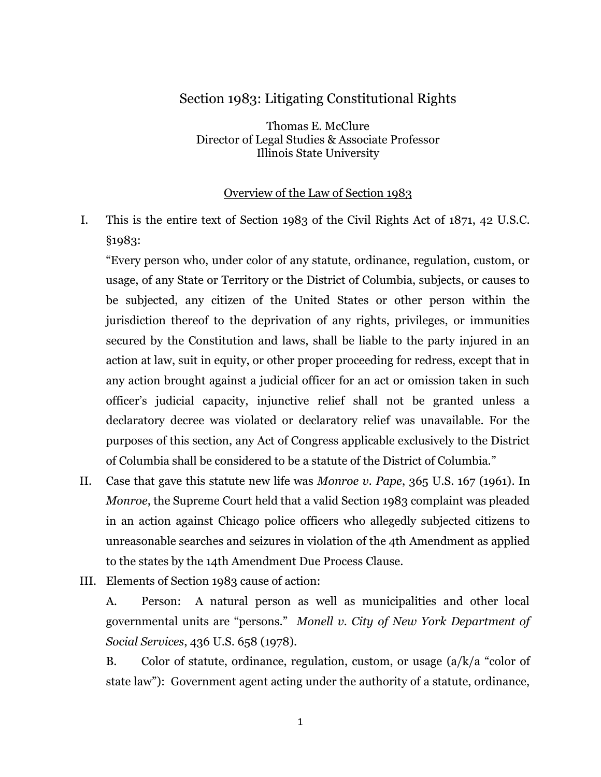## Section 1983: Litigating Constitutional Rights

Thomas E. McClure Director of Legal Studies & Associate Professor Illinois State University

### Overview of the Law of Section 1983

I. This is the entire text of Section 1983 of the Civil Rights Act of 1871, 42 U.S.C. §1983:

"Every person who, under color of any statute, ordinance, regulation, custom, or usage, of any State or Territory or the District of Columbia, subjects, or causes to be subjected, any citizen of the United States or other person within the jurisdiction thereof to the deprivation of any rights, privileges, or immunities secured by the Constitution and laws, shall be liable to the party injured in an action at law, suit in equity, or other proper proceeding for redress, except that in any action brought against a judicial officer for an act or omission taken in such officer's judicial capacity, injunctive relief shall not be granted unless a declaratory decree was violated or declaratory relief was unavailable. For the purposes of this section, any Act of Congress applicable exclusively to the District of Columbia shall be considered to be a statute of the District of Columbia."

- II. Case that gave this statute new life was *Monroe v. Pape*, 365 U.S. 167 (1961). In *Monroe*, the Supreme Court held that a valid Section 1983 complaint was pleaded in an action against Chicago police officers who allegedly subjected citizens to unreasonable searches and seizures in violation of the 4th Amendment as applied to the states by the 14th Amendment Due Process Clause.
- III. Elements of Section 1983 cause of action:

A. Person: A natural person as well as municipalities and other local governmental units are "persons." *Monell v. City of New York Department of Social Services*, 436 U.S. 658 (1978).

B. Color of statute, ordinance, regulation, custom, or usage  $\left(\frac{a}{k}\right)$  "color of state law"): Government agent acting under the authority of a statute, ordinance,

1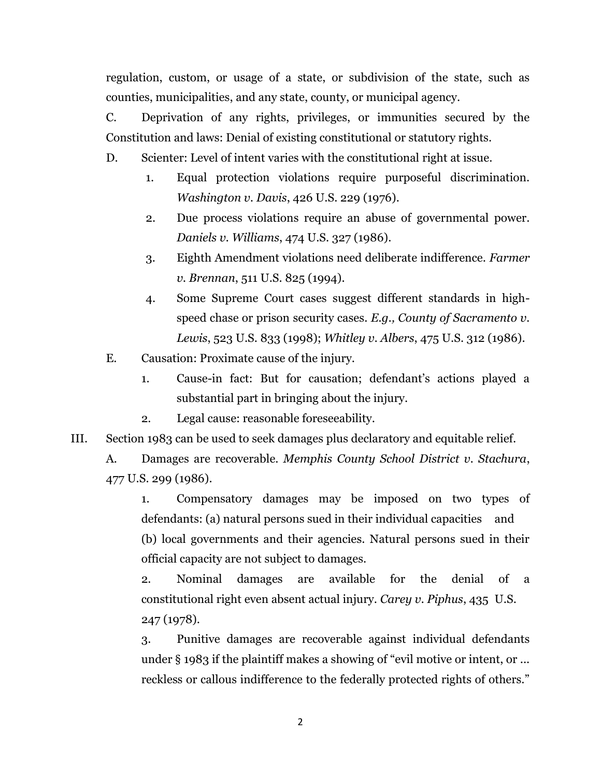regulation, custom, or usage of a state, or subdivision of the state, such as counties, municipalities, and any state, county, or municipal agency.

C. Deprivation of any rights, privileges, or immunities secured by the Constitution and laws: Denial of existing constitutional or statutory rights.

D. Scienter: Level of intent varies with the constitutional right at issue.

- 1. Equal protection violations require purposeful discrimination. *Washington v. Davis*, 426 U.S. 229 (1976).
- 2. Due process violations require an abuse of governmental power. *Daniels v. Williams*, 474 U.S. 327 (1986).
- 3. Eighth Amendment violations need deliberate indifference. *Farmer v. Brennan*, 511 U.S. 825 (1994).
- 4. Some Supreme Court cases suggest different standards in highspeed chase or prison security cases. *E.g., County of Sacramento v. Lewis*, 523 U.S. 833 (1998); *Whitley v. Albers*, 475 U.S. 312 (1986).
- E. Causation: Proximate cause of the injury.
	- 1. Cause-in fact: But for causation; defendant's actions played a substantial part in bringing about the injury.
	- 2. Legal cause: reasonable foreseeability.
- III. Section 1983 can be used to seek damages plus declaratory and equitable relief.

A. Damages are recoverable. *Memphis County School District v. Stachura*, 477 U.S. 299 (1986).

1. Compensatory damages may be imposed on two types of defendants: (a) natural persons sued in their individual capacities and (b) local governments and their agencies. Natural persons sued in their official capacity are not subject to damages.

2. Nominal damages are available for the denial of a constitutional right even absent actual injury. *Carey v. Piphus*, 435 U.S. 247 (1978).

3. Punitive damages are recoverable against individual defendants under § 1983 if the plaintiff makes a showing of "evil motive or intent, or ... reckless or callous indifference to the federally protected rights of others."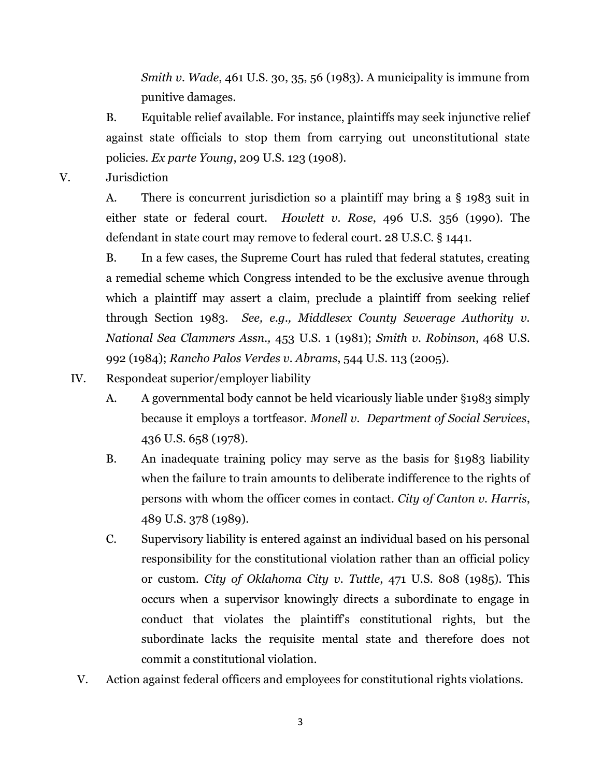*Smith v. Wade*, 461 U.S. 30, 35, 56 (1983). A municipality is immune from punitive damages.

B. Equitable relief available. For instance, plaintiffs may seek injunctive relief against state officials to stop them from carrying out unconstitutional state policies. *Ex parte Young*, 209 U.S. 123 (1908).

V. Jurisdiction

A. There is concurrent jurisdiction so a plaintiff may bring a § 1983 suit in either state or federal court. *Howlett v. Rose*, 496 U.S. 356 (1990). The defendant in state court may remove to federal court. 28 U.S.C. § 1441.

B. In a few cases, the Supreme Court has ruled that federal statutes, creating a remedial scheme which Congress intended to be the exclusive avenue through which a plaintiff may assert a claim, preclude a plaintiff from seeking relief through Section 1983. *See, e.g., Middlesex County Sewerage Authority v. National Sea Clammers Assn.,* 453 U.S. 1 (1981); *Smith v. Robinson*, 468 U.S. 992 (1984); *Rancho Palos Verdes v. Abrams*, 544 U.S. 113 (2005).

- IV. Respondeat superior/employer liability
	- A. A governmental body cannot be held vicariously liable under §1983 simply because it employs a tortfeasor. *Monell v. Department of Social Services*, 436 U.S. 658 (1978).
	- B. An inadequate training policy may serve as the basis for §1983 liability when the failure to train amounts to deliberate indifference to the rights of persons with whom the officer comes in contact. *City of Canton v. Harris*, 489 U.S. 378 (1989).
	- C. Supervisory liability is entered against an individual based on his personal responsibility for the constitutional violation rather than an official policy or custom. *City of Oklahoma City v. Tuttle*, 471 U.S. 808 (1985). This occurs when a supervisor knowingly directs a subordinate to engage in conduct that violates the plaintiff's constitutional rights, but the subordinate lacks the requisite mental state and therefore does not commit a constitutional violation.
- V. Action against federal officers and employees for constitutional rights violations.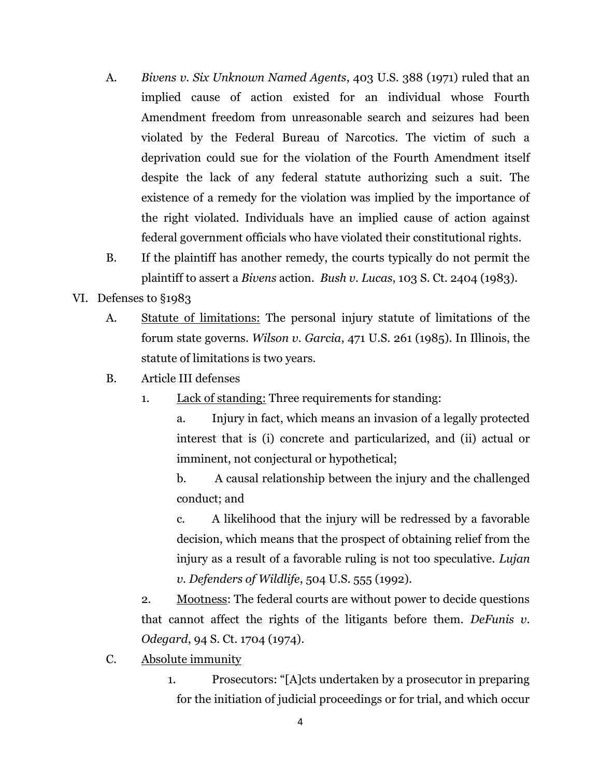- A. *Bivens v. Six Unknown Named Agents*, 403 U.S. 388 (1971) ruled that an implied cause of action existed for an individual whose Fourth Amendment freedom from unreasonable search and seizures had been violated by the Federal Bureau of Narcotics. The victim of such a deprivation could sue for the violation of the Fourth Amendment itself despite the lack of any federal statute authorizing such a suit. The existence of a remedy for the violation was implied by the importance of the right violated. Individuals have an implied cause of action against federal government officials who have violated their constitutional rights.
- B. If the plaintiff has another remedy, the courts typically do not permit the plaintiff to assert a *Bivens* action. *Bush v. Lucas*, 103 S. Ct. 2404 (1983).
- VI. Defenses to §1983
	- A. Statute of limitations: The personal injury statute of limitations of the forum state governs. *Wilson v. Garcia*, 471 U.S. 261 (1985). In Illinois, the statute of limitations is two years.
	- B. Article III defenses
		- 1. Lack of standing: Three requirements for standing:

a. Injury in fact, which means an invasion of a legally protected interest that is (i) concrete and particularized, and (ii) actual or imminent, not conjectural or hypothetical;

b. A causal relationship between the injury and the challenged conduct; and

c. A likelihood that the injury will be redressed by a favorable decision, which means that the prospect of obtaining relief from the injury as a result of a favorable ruling is not too speculative. *Lujan v. Defenders of Wildlife*, 504 U.S. 555 (1992).

2. Mootness: The federal courts are without power to decide questions that cannot affect the rights of the litigants before them. *DeFunis v. Odegard*, 94 S. Ct. 1704 (1974).

- C. Absolute immunity
	- 1. Prosecutors: "[A]cts undertaken by a prosecutor in preparing for the initiation of judicial proceedings or for trial, and which occur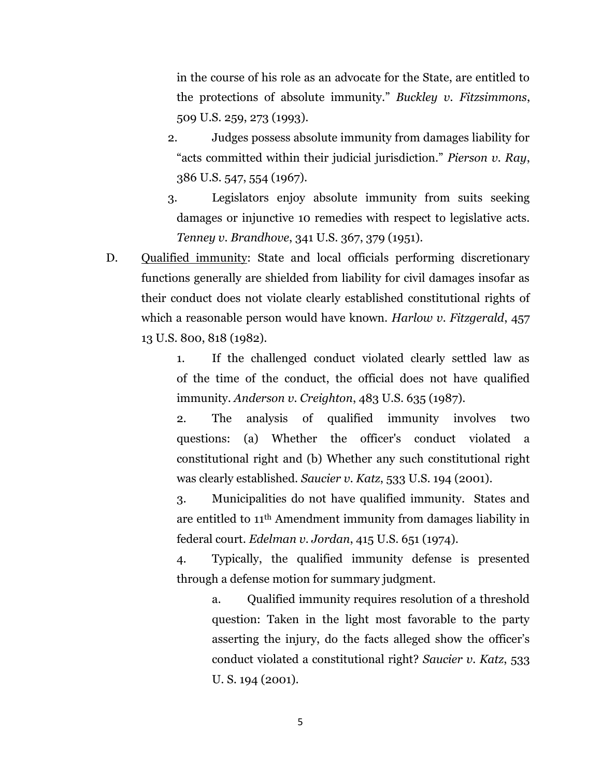in the course of his role as an advocate for the State, are entitled to the protections of absolute immunity." *Buckley v. Fitzsimmons*, 509 U.S. 259, 273 (1993).

- 2. Judges possess absolute immunity from damages liability for "acts committed within their judicial jurisdiction." *Pierson v. Ray*, 386 U.S. 547, 554 (1967).
- 3. Legislators enjoy absolute immunity from suits seeking damages or injunctive 10 remedies with respect to legislative acts. *Tenney v. Brandhove*, 341 U.S. 367, 379 (1951).
- D. Qualified immunity: State and local officials performing discretionary functions generally are shielded from liability for civil damages insofar as their conduct does not violate clearly established constitutional rights of which a reasonable person would have known. *Harlow v. Fitzgerald*, 457 13 U.S. 800, 818 (1982).

1. If the challenged conduct violated clearly settled law as of the time of the conduct, the official does not have qualified immunity. *Anderson v. Creighton*, 483 U.S. 635 (1987).

2. The analysis of qualified immunity involves two questions: (a) Whether the officer's conduct violated a constitutional right and (b) Whether any such constitutional right was clearly established. *Saucier v. Katz*, 533 U.S. 194 (2001).

3. Municipalities do not have qualified immunity. States and are entitled to 11th Amendment immunity from damages liability in federal court. *Edelman v. Jordan*, 415 U.S. 651 (1974).

4. Typically, the qualified immunity defense is presented through a defense motion for summary judgment.

> a. Qualified immunity requires resolution of a threshold question: Taken in the light most favorable to the party asserting the injury, do the facts alleged show the officer's conduct violated a constitutional right? *Saucier v. Katz*, 533 U. S. 194 (2001).

> > 5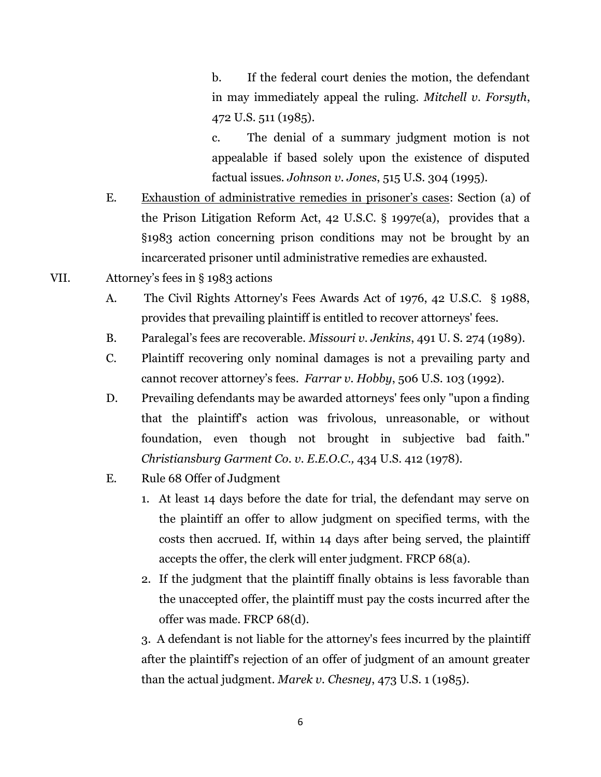b. If the federal court denies the motion, the defendant in may immediately appeal the ruling. *Mitchell v. Forsyth*, 472 U.S. 511 (1985).

c. The denial of a summary judgment motion is not appealable if based solely upon the existence of disputed factual issues. *Johnson v. Jones*, 515 U.S. 304 (1995).

- E. Exhaustion of administrative remedies in prisoner's cases: Section (a) of the Prison Litigation Reform Act, 42 U.S.C. § 1997e(a), provides that a §1983 action concerning prison conditions may not be brought by an incarcerated prisoner until administrative remedies are exhausted.
- VII. Attorney's fees in § 1983 actions
	- A. The Civil Rights Attorney's Fees Awards Act of 1976, 42 U.S.C. § 1988, provides that prevailing plaintiff is entitled to recover attorneys' fees.
	- B. Paralegal's fees are recoverable. *Missouri v. Jenkins*, 491 U. S. 274 (1989).
	- C. Plaintiff recovering only nominal damages is not a prevailing party and cannot recover attorney's fees. *Farrar v. Hobby*, 506 U.S. 103 (1992).
	- D. Prevailing defendants may be awarded attorneys' fees only "upon a finding that the plaintiff's action was frivolous, unreasonable, or without foundation, even though not brought in subjective bad faith." *Christiansburg Garment Co. v. E.E.O.C.,* 434 U.S. 412 (1978).
	- E. Rule 68 Offer of Judgment
		- 1. At least 14 days before the date for trial, the defendant may serve on the plaintiff an offer to allow judgment on specified terms, with the costs then accrued. If, within 14 days after being served, the plaintiff accepts the offer, the clerk will enter judgment. FRCP 68(a).
		- 2. If the judgment that the plaintiff finally obtains is less favorable than the unaccepted offer, the plaintiff must pay the costs incurred after the offer was made. FRCP 68(d).

3. A defendant is not liable for the attorney's fees incurred by the plaintiff after the plaintiff's rejection of an offer of judgment of an amount greater than the actual judgment. *Marek v. Chesney*, 473 U.S. 1 (1985).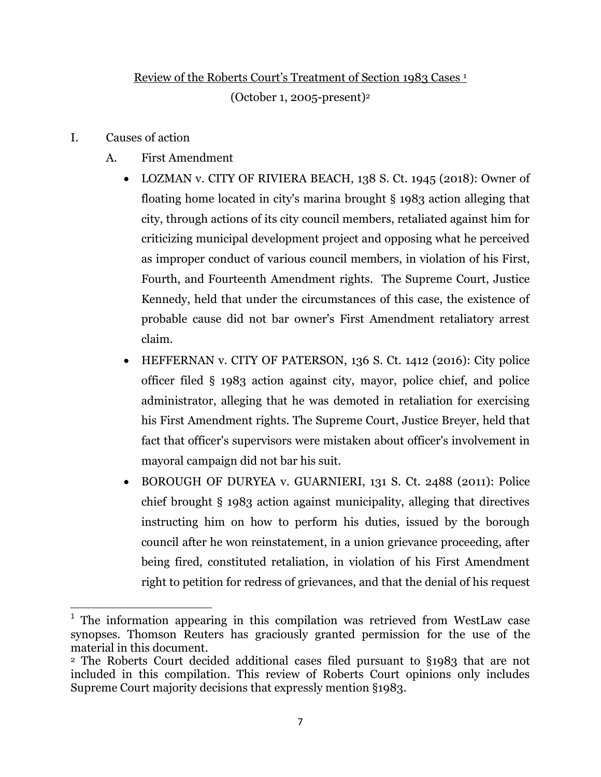# Review of the Roberts Court's Treatment of Section 1983 Cases <sup>1</sup>

(October 1, 2005-present)<sup>2</sup>

I. Causes of action

 $\overline{\phantom{a}}$ 

- A. First Amendment
	- LOZMAN v. CITY OF RIVIERA BEACH, 138 S. Ct. 1945 (2018): Owner of floating home located in city's marina brought § 1983 action alleging that city, through actions of its city council members, retaliated against him for criticizing municipal development project and opposing what he perceived as improper conduct of various council members, in violation of his First, Fourth, and Fourteenth Amendment rights. The Supreme Court, Justice Kennedy, held that under the circumstances of this case, the existence of probable cause did not bar owner's First Amendment retaliatory arrest claim.
	- HEFFERNAN v. CITY OF PATERSON, 136 S. Ct. 1412 (2016): City police officer filed § 1983 action against city, mayor, police chief, and police administrator, alleging that he was demoted in retaliation for exercising his First Amendment rights. The Supreme Court, Justice Breyer, held that fact that officer's supervisors were mistaken about officer's involvement in mayoral campaign did not bar his suit.
	- BOROUGH OF DURYEA v. GUARNIERI, 131 S. Ct. 2488 (2011): Police chief brought § 1983 action against municipality, alleging that directives instructing him on how to perform his duties, issued by the borough council after he won reinstatement, in a union grievance proceeding, after being fired, constituted retaliation, in violation of his First Amendment right to petition for redress of grievances, and that the denial of his request

<sup>&</sup>lt;sup>1</sup> The information appearing in this compilation was retrieved from WestLaw case synopses. Thomson Reuters has graciously granted permission for the use of the material in this document.

<sup>2</sup> The Roberts Court decided additional cases filed pursuant to §1983 that are not included in this compilation. This review of Roberts Court opinions only includes Supreme Court majority decisions that expressly mention §1983.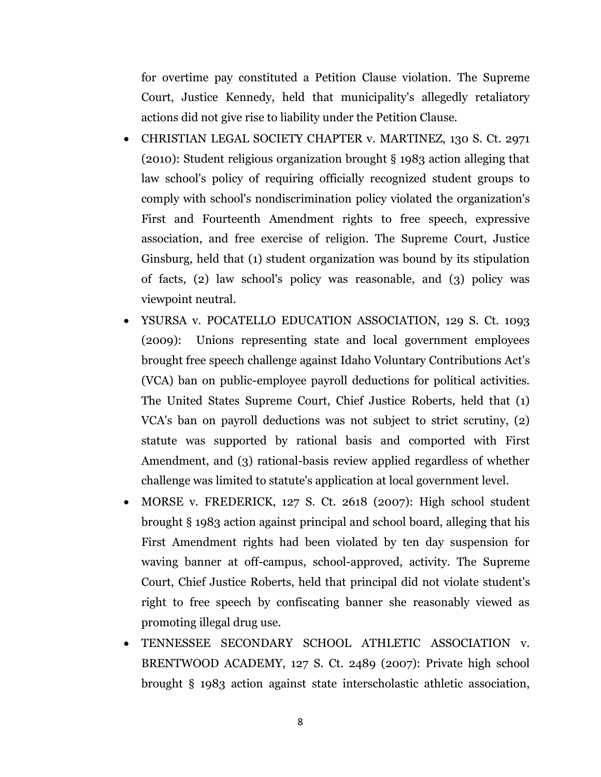for overtime pay constituted a Petition Clause violation. The Supreme Court, Justice Kennedy, held that municipality's allegedly retaliatory actions did not give rise to liability under the Petition Clause.

- CHRISTIAN LEGAL SOCIETY CHAPTER v. MARTINEZ, 130 S. Ct. 2971 (2010): Student religious organization brought § 1983 action alleging that law school's policy of requiring officially recognized student groups to comply with school's nondiscrimination policy violated the organization's First and Fourteenth Amendment rights to free speech, expressive association, and free exercise of religion. The Supreme Court, Justice Ginsburg, held that (1) student organization was bound by its stipulation of facts, (2) law school's policy was reasonable, and (3) policy was viewpoint neutral.
- YSURSA v. POCATELLO EDUCATION ASSOCIATION, 129 S. Ct. 1093 (2009): Unions representing state and local government employees brought free speech challenge against Idaho Voluntary Contributions Act's (VCA) ban on public-employee payroll deductions for political activities. The United States Supreme Court, Chief Justice Roberts, held that (1) VCA's ban on payroll deductions was not subject to strict scrutiny, (2) statute was supported by rational basis and comported with First Amendment, and (3) rational-basis review applied regardless of whether challenge was limited to statute's application at local government level.
- MORSE v. FREDERICK, 127 S. Ct. 2618 (2007): High school student brought § 1983 action against principal and school board, alleging that his First Amendment rights had been violated by ten day suspension for waving banner at off-campus, school-approved, activity. The Supreme Court, Chief Justice Roberts, held that principal did not violate student's right to free speech by confiscating banner she reasonably viewed as promoting illegal drug use.
- TENNESSEE SECONDARY SCHOOL ATHLETIC ASSOCIATION v. BRENTWOOD ACADEMY, 127 S. Ct. 2489 (2007): Private high school brought § 1983 action against state interscholastic athletic association,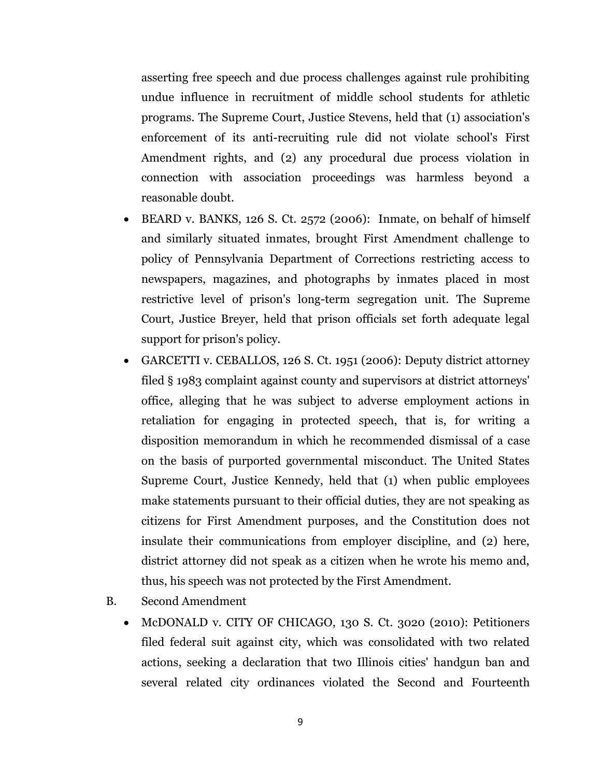asserting free speech and due process challenges against rule prohibiting undue influence in recruitment of middle school students for athletic programs. The Supreme Court, Justice Stevens, held that (1) association's enforcement of its anti-recruiting rule did not violate school's First Amendment rights, and (2) any procedural due process violation in connection with association proceedings was harmless beyond a reasonable doubt.

- $\bullet$  BEARD v. BANKS, 126 S. Ct. 2572 (2006): Inmate, on behalf of himself and similarly situated inmates, brought First Amendment challenge to policy of Pennsylvania Department of Corrections restricting access to newspapers, magazines, and photographs by inmates placed in most restrictive level of prison's long-term segregation unit. The Supreme Court, Justice Breyer, held that prison officials set forth adequate legal support for prison's policy.
- GARCETTI v. CEBALLOS, 126 S. Ct. 1951 (2006): Deputy district attorney filed § 1983 complaint against county and supervisors at district attorneys' office, alleging that he was subject to adverse employment actions in retaliation for engaging in protected speech, that is, for writing a disposition memorandum in which he recommended dismissal of a case on the basis of purported governmental misconduct. The United States Supreme Court, Justice Kennedy, held that (1) when public employees make statements pursuant to their official duties, they are not speaking as citizens for First Amendment purposes, and the Constitution does not insulate their communications from employer discipline, and (2) here, district attorney did not speak as a citizen when he wrote his memo and, thus, his speech was not protected by the First Amendment.
- B. Second Amendment
	- McDONALD v. CITY OF CHICAGO, 130 S. Ct. 3020 (2010): Petitioners filed federal suit against city, which was consolidated with two related actions, seeking a declaration that two Illinois cities' handgun ban and several related city ordinances violated the Second and Fourteenth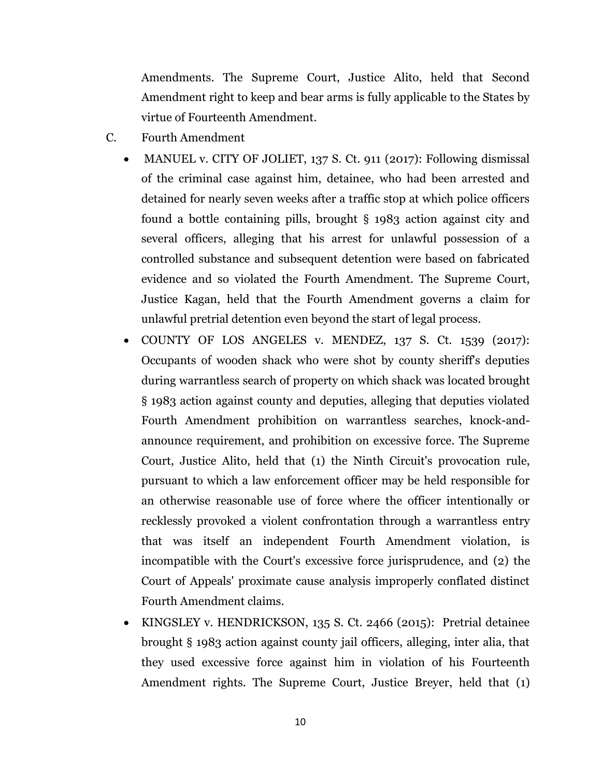Amendments. The Supreme Court, Justice Alito, held that Second Amendment right to keep and bear arms is fully applicable to the States by virtue of Fourteenth Amendment.

- C. Fourth Amendment
	- MANUEL v. CITY OF JOLIET, 137 S. Ct. 911 (2017): Following dismissal of the criminal case against him, detainee, who had been arrested and detained for nearly seven weeks after a traffic stop at which police officers found a bottle containing pills, brought § 1983 action against city and several officers, alleging that his arrest for unlawful possession of a controlled substance and subsequent detention were based on fabricated evidence and so violated the Fourth Amendment. The Supreme Court, Justice Kagan, held that the Fourth Amendment governs a claim for unlawful pretrial detention even beyond the start of legal process.
	- $\bullet$  COUNTY OF LOS ANGELES v. MENDEZ, 137 S. Ct. 1539 (2017): Occupants of wooden shack who were shot by county sheriff's deputies during warrantless search of property on which shack was located brought § 1983 action against county and deputies, alleging that deputies violated Fourth Amendment prohibition on warrantless searches, knock-andannounce requirement, and prohibition on excessive force. The Supreme Court, Justice Alito, held that (1) the Ninth Circuit's provocation rule, pursuant to which a law enforcement officer may be held responsible for an otherwise reasonable use of force where the officer intentionally or recklessly provoked a violent confrontation through a warrantless entry that was itself an independent Fourth Amendment violation, is incompatible with the Court's excessive force jurisprudence, and (2) the Court of Appeals' proximate cause analysis improperly conflated distinct Fourth Amendment claims.
	- KINGSLEY v. HENDRICKSON, 135 S. Ct. 2466 (2015): Pretrial detainee brought § 1983 action against county jail officers, alleging, inter alia, that they used excessive force against him in violation of his Fourteenth Amendment rights. The Supreme Court, Justice Breyer, held that (1)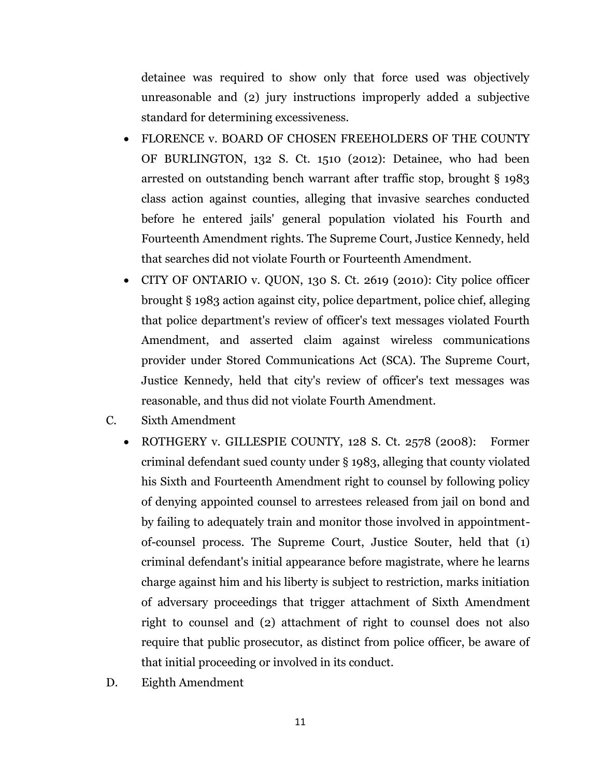detainee was required to show only that force used was objectively unreasonable and (2) jury instructions improperly added a subjective standard for determining excessiveness.

- FLORENCE v. BOARD OF CHOSEN FREEHOLDERS OF THE COUNTY OF BURLINGTON, 132 S. Ct. 1510 (2012): Detainee, who had been arrested on outstanding bench warrant after traffic stop, brought § 1983 class action against counties, alleging that invasive searches conducted before he entered jails' general population violated his Fourth and Fourteenth Amendment rights. The Supreme Court, Justice Kennedy, held that searches did not violate Fourth or Fourteenth Amendment.
- CITY OF ONTARIO v. QUON, 130 S. Ct. 2619 (2010): City police officer brought § 1983 action against city, police department, police chief, alleging that police department's review of officer's text messages violated Fourth Amendment, and asserted claim against wireless communications provider under Stored Communications Act (SCA). The Supreme Court, Justice Kennedy, held that city's review of officer's text messages was reasonable, and thus did not violate Fourth Amendment.
- C. Sixth Amendment
	- ROTHGERY v. GILLESPIE COUNTY, 128 S. Ct. 2578 (2008): Former criminal defendant sued county under § 1983, alleging that county violated his Sixth and Fourteenth Amendment right to counsel by following policy of denying appointed counsel to arrestees released from jail on bond and by failing to adequately train and monitor those involved in appointmentof-counsel process. The Supreme Court, Justice Souter, held that (1) criminal defendant's initial appearance before magistrate, where he learns charge against him and his liberty is subject to restriction, marks initiation of adversary proceedings that trigger attachment of Sixth Amendment right to counsel and (2) attachment of right to counsel does not also require that public prosecutor, as distinct from police officer, be aware of that initial proceeding or involved in its conduct.
- D. Eighth Amendment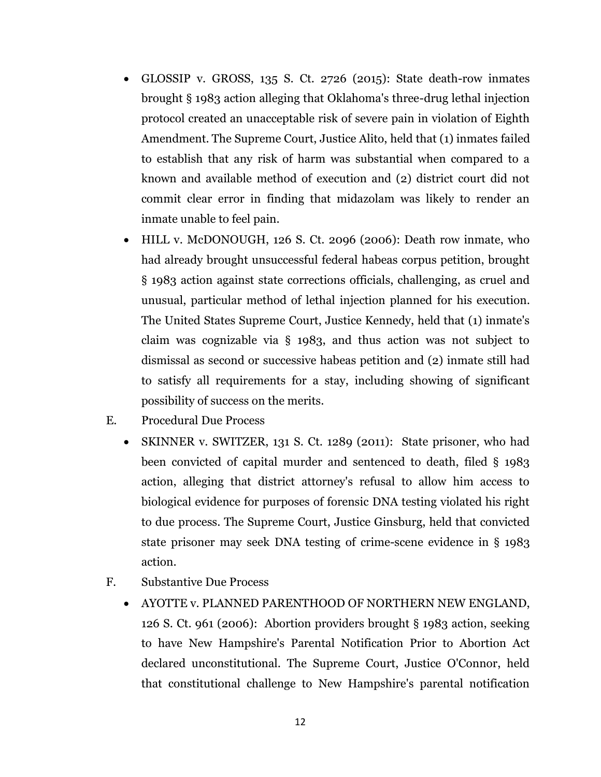- GLOSSIP v. GROSS, 135 S. Ct. 2726 (2015): State death-row inmates brought § 1983 action alleging that Oklahoma's three-drug lethal injection protocol created an unacceptable risk of severe pain in violation of Eighth Amendment. The Supreme Court, Justice Alito, held that (1) inmates failed to establish that any risk of harm was substantial when compared to a known and available method of execution and (2) district court did not commit clear error in finding that midazolam was likely to render an inmate unable to feel pain.
- HILL v. McDONOUGH, 126 S. Ct. 2096 (2006): Death row inmate, who had already brought unsuccessful federal habeas corpus petition, brought § 1983 action against state corrections officials, challenging, as cruel and unusual, particular method of lethal injection planned for his execution. The United States Supreme Court, Justice Kennedy, held that (1) inmate's claim was cognizable via § 1983, and thus action was not subject to dismissal as second or successive habeas petition and (2) inmate still had to satisfy all requirements for a stay, including showing of significant possibility of success on the merits.
- E. Procedural Due Process
	- SKINNER v. SWITZER, 131 S. Ct. 1289 (2011): State prisoner, who had been convicted of capital murder and sentenced to death, filed § 1983 action, alleging that district attorney's refusal to allow him access to biological evidence for purposes of forensic DNA testing violated his right to due process. The Supreme Court, Justice Ginsburg, held that convicted state prisoner may seek DNA testing of crime-scene evidence in § 1983 action.
- F. Substantive Due Process
	- AYOTTE v. PLANNED PARENTHOOD OF NORTHERN NEW ENGLAND, 126 S. Ct. 961 (2006): Abortion providers brought § 1983 action, seeking to have New Hampshire's Parental Notification Prior to Abortion Act declared unconstitutional. The Supreme Court, Justice O'Connor, held that constitutional challenge to New Hampshire's parental notification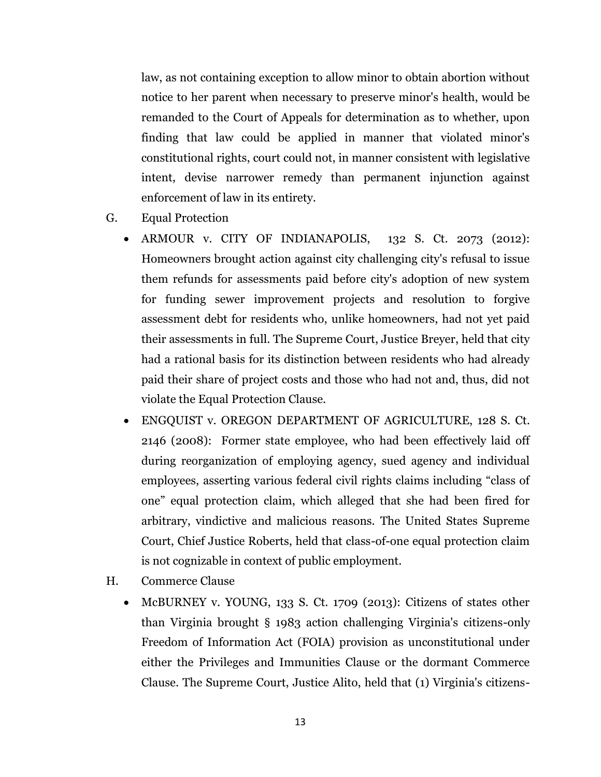law, as not containing exception to allow minor to obtain abortion without notice to her parent when necessary to preserve minor's health, would be remanded to the Court of Appeals for determination as to whether, upon finding that law could be applied in manner that violated minor's constitutional rights, court could not, in manner consistent with legislative intent, devise narrower remedy than permanent injunction against enforcement of law in its entirety.

- G. Equal Protection
	- ARMOUR v. CITY OF INDIANAPOLIS, 132 S. Ct. 2073 (2012): Homeowners brought action against city challenging city's refusal to issue them refunds for assessments paid before city's adoption of new system for funding sewer improvement projects and resolution to forgive assessment debt for residents who, unlike homeowners, had not yet paid their assessments in full. The Supreme Court, Justice Breyer, held that city had a rational basis for its distinction between residents who had already paid their share of project costs and those who had not and, thus, did not violate the Equal Protection Clause.
	- ENGQUIST v. OREGON DEPARTMENT OF AGRICULTURE, 128 S. Ct. 2146 (2008): Former state employee, who had been effectively laid off during reorganization of employing agency, sued agency and individual employees, asserting various federal civil rights claims including "class of one" equal protection claim, which alleged that she had been fired for arbitrary, vindictive and malicious reasons. The United States Supreme Court, Chief Justice Roberts, held that class-of-one equal protection claim is not cognizable in context of public employment.
- H. Commerce Clause
	- McBURNEY v. YOUNG, 133 S. Ct. 1709 (2013): Citizens of states other than Virginia brought § 1983 action challenging Virginia's citizens-only Freedom of Information Act (FOIA) provision as unconstitutional under either the Privileges and Immunities Clause or the dormant Commerce Clause. The Supreme Court, Justice Alito, held that (1) Virginia's citizens-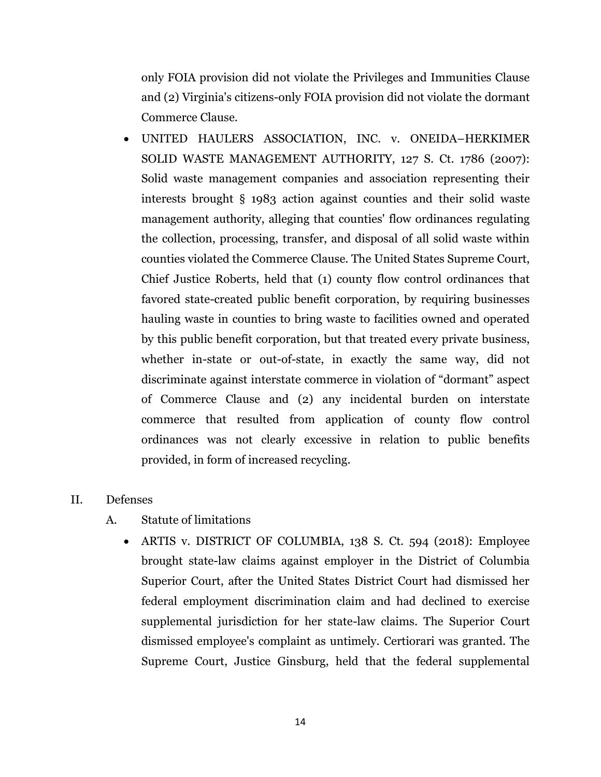only FOIA provision did not violate the Privileges and Immunities Clause and (2) Virginia's citizens-only FOIA provision did not violate the dormant Commerce Clause.

 UNITED HAULERS ASSOCIATION, INC. v. ONEIDA–HERKIMER SOLID WASTE MANAGEMENT AUTHORITY, 127 S. Ct. 1786 (2007): Solid waste management companies and association representing their interests brought § 1983 action against counties and their solid waste management authority, alleging that counties' flow ordinances regulating the collection, processing, transfer, and disposal of all solid waste within counties violated the Commerce Clause. The United States Supreme Court, Chief Justice Roberts, held that (1) county flow control ordinances that favored state-created public benefit corporation, by requiring businesses hauling waste in counties to bring waste to facilities owned and operated by this public benefit corporation, but that treated every private business, whether in-state or out-of-state, in exactly the same way, did not discriminate against interstate commerce in violation of "dormant" aspect of Commerce Clause and (2) any incidental burden on interstate commerce that resulted from application of county flow control ordinances was not clearly excessive in relation to public benefits provided, in form of increased recycling.

### II. Defenses

- A. Statute of limitations
	- ARTIS v. DISTRICT OF COLUMBIA, 138 S. Ct. 594 (2018): Employee brought state-law claims against employer in the District of Columbia Superior Court, after the United States District Court had dismissed her federal employment discrimination claim and had declined to exercise supplemental jurisdiction for her state-law claims. The Superior Court dismissed employee's complaint as untimely. Certiorari was granted. The Supreme Court, Justice Ginsburg, held that the federal supplemental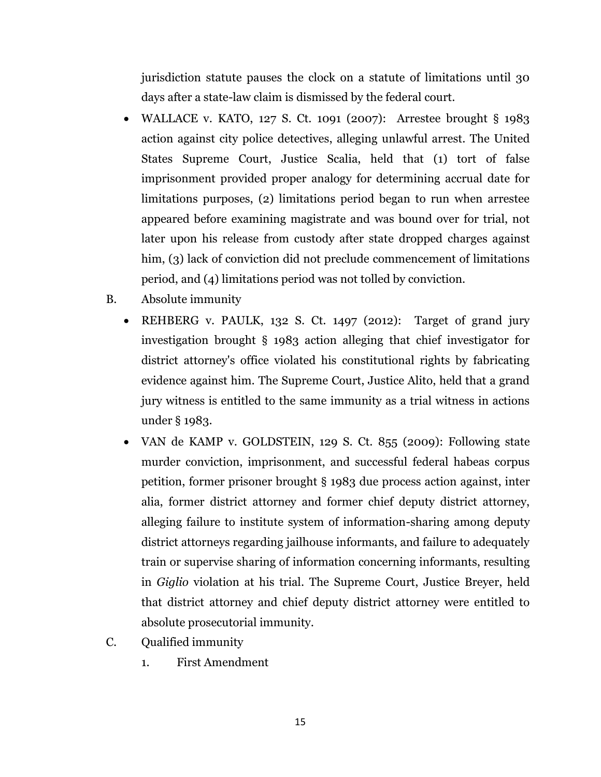jurisdiction statute pauses the clock on a statute of limitations until 30 days after a state-law claim is dismissed by the federal court.

- WALLACE v. KATO, 127 S. Ct. 1091 (2007): Arrestee brought § 1983 action against city police detectives, alleging unlawful arrest. The United States Supreme Court, Justice Scalia, held that (1) tort of false imprisonment provided proper analogy for determining accrual date for limitations purposes, (2) limitations period began to run when arrestee appeared before examining magistrate and was bound over for trial, not later upon his release from custody after state dropped charges against him, (3) lack of conviction did not preclude commencement of limitations period, and (4) limitations period was not tolled by conviction.
- B. Absolute immunity
	- REHBERG v. PAULK, 132 S. Ct. 1497 (2012): Target of grand jury investigation brought § 1983 action alleging that chief investigator for district attorney's office violated his constitutional rights by fabricating evidence against him. The Supreme Court, Justice Alito, held that a grand jury witness is entitled to the same immunity as a trial witness in actions under § 1983.
	- VAN de KAMP v. GOLDSTEIN, 129 S. Ct. 855 (2009): Following state murder conviction, imprisonment, and successful federal habeas corpus petition, former prisoner brought § 1983 due process action against, inter alia, former district attorney and former chief deputy district attorney, alleging failure to institute system of information-sharing among deputy district attorneys regarding jailhouse informants, and failure to adequately train or supervise sharing of information concerning informants, resulting in *Giglio* violation at his trial. The Supreme Court, Justice Breyer, held that district attorney and chief deputy district attorney were entitled to absolute prosecutorial immunity.
- C. Qualified immunity
	- 1. First Amendment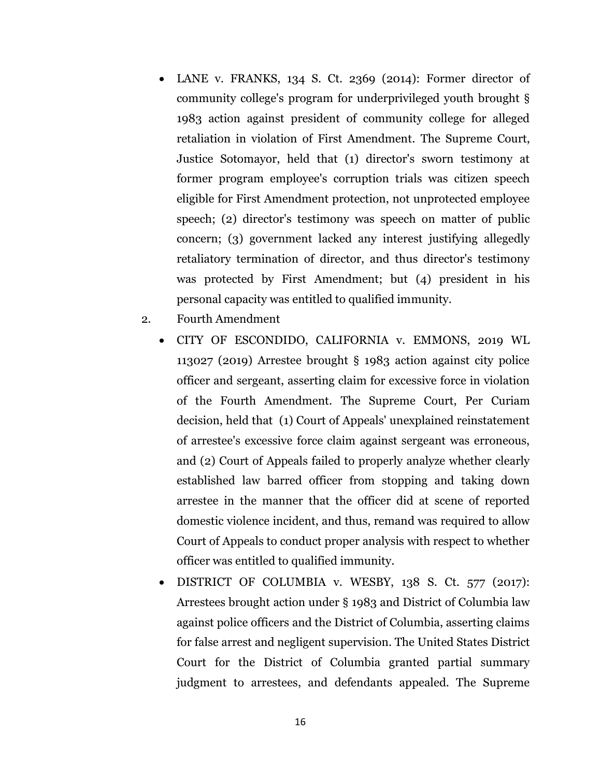- LANE v. FRANKS, 134 S. Ct. 2369 (2014): Former director of community college's program for underprivileged youth brought § 1983 action against president of community college for alleged retaliation in violation of First Amendment. The Supreme Court, Justice Sotomayor, held that (1) director's sworn testimony at former program employee's corruption trials was citizen speech eligible for First Amendment protection, not unprotected employee speech; (2) director's testimony was speech on matter of public concern; (3) government lacked any interest justifying allegedly retaliatory termination of director, and thus director's testimony was protected by First Amendment; but (4) president in his personal capacity was entitled to qualified immunity.
- 2. Fourth Amendment
	- CITY OF ESCONDIDO, CALIFORNIA v. EMMONS, 2019 WL 113027 (2019) Arrestee brought § 1983 action against city police officer and sergeant, asserting claim for excessive force in violation of the Fourth Amendment. The Supreme Court, Per Curiam decision, held that (1) Court of Appeals' unexplained reinstatement of arrestee's excessive force claim against sergeant was erroneous, and (2) Court of Appeals failed to properly analyze whether clearly established law barred officer from stopping and taking down arrestee in the manner that the officer did at scene of reported domestic violence incident, and thus, remand was required to allow Court of Appeals to conduct proper analysis with respect to whether officer was entitled to qualified immunity.
	- DISTRICT OF COLUMBIA v. WESBY, 138 S. Ct. 577 (2017): Arrestees brought action under § 1983 and District of Columbia law against police officers and the District of Columbia, asserting claims for false arrest and negligent supervision. The United States District Court for the District of Columbia granted partial summary judgment to arrestees, and defendants appealed. The Supreme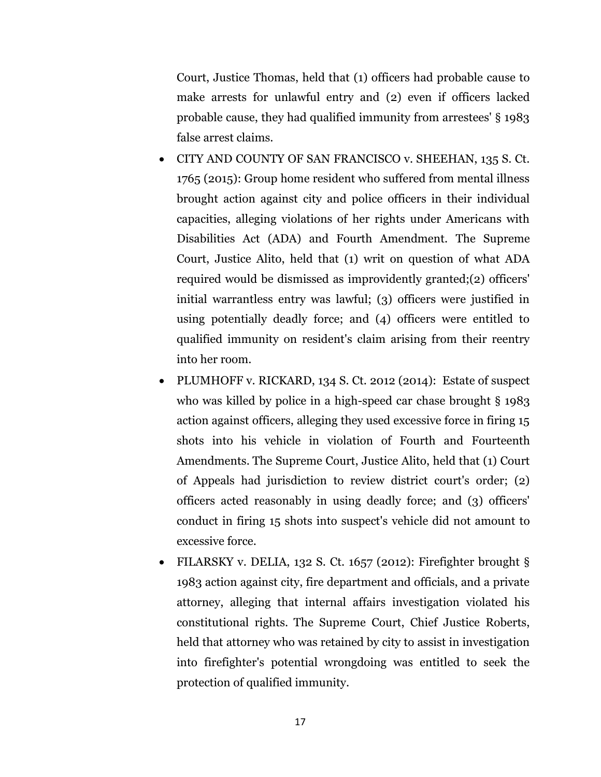Court, Justice Thomas, held that (1) officers had probable cause to make arrests for unlawful entry and (2) even if officers lacked probable cause, they had qualified immunity from arrestees' § 1983 false arrest claims.

- CITY AND COUNTY OF SAN FRANCISCO v. SHEEHAN, 135 S. Ct. 1765 (2015): Group home resident who suffered from mental illness brought action against city and police officers in their individual capacities, alleging violations of her rights under Americans with Disabilities Act (ADA) and Fourth Amendment. The Supreme Court, Justice Alito, held that (1) writ on question of what ADA required would be dismissed as improvidently granted;(2) officers' initial warrantless entry was lawful; (3) officers were justified in using potentially deadly force; and (4) officers were entitled to qualified immunity on resident's claim arising from their reentry into her room.
- PLUMHOFF v. RICKARD, 134 S. Ct. 2012 (2014): Estate of suspect who was killed by police in a high-speed car chase brought § 1983 action against officers, alleging they used excessive force in firing 15 shots into his vehicle in violation of Fourth and Fourteenth Amendments. The Supreme Court, Justice Alito, held that (1) Court of Appeals had jurisdiction to review district court's order; (2) officers acted reasonably in using deadly force; and (3) officers' conduct in firing 15 shots into suspect's vehicle did not amount to excessive force.
- FILARSKY v. DELIA, 132 S. Ct. 1657 (2012): Firefighter brought § 1983 action against city, fire department and officials, and a private attorney, alleging that internal affairs investigation violated his constitutional rights. The Supreme Court, Chief Justice Roberts, held that attorney who was retained by city to assist in investigation into firefighter's potential wrongdoing was entitled to seek the protection of qualified immunity.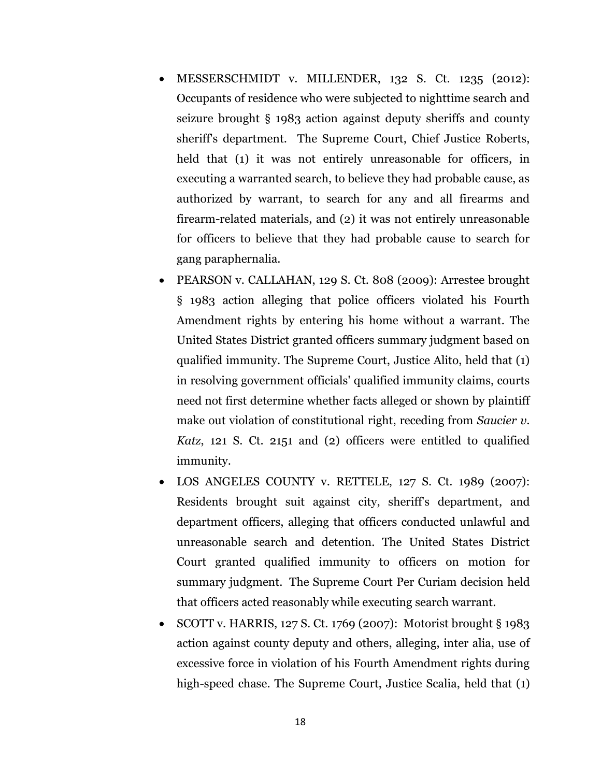- MESSERSCHMIDT v. MILLENDER, 132 S. Ct. 1235 (2012): Occupants of residence who were subjected to nighttime search and seizure brought § 1983 action against deputy sheriffs and county sheriff's department. The Supreme Court, Chief Justice Roberts, held that (1) it was not entirely unreasonable for officers, in executing a warranted search, to believe they had probable cause, as authorized by warrant, to search for any and all firearms and firearm-related materials, and (2) it was not entirely unreasonable for officers to believe that they had probable cause to search for gang paraphernalia.
- PEARSON v. CALLAHAN, 129 S. Ct. 808 (2009): Arrestee brought § 1983 action alleging that police officers violated his Fourth Amendment rights by entering his home without a warrant. The United States District granted officers summary judgment based on qualified immunity. The Supreme Court, Justice Alito, held that (1) in resolving government officials' qualified immunity claims, courts need not first determine whether facts alleged or shown by plaintiff make out violation of constitutional right, receding from *Saucier v. Katz*, 121 S. Ct. 2151 and (2) officers were entitled to qualified immunity.
- LOS ANGELES COUNTY v. RETTELE, 127 S. Ct. 1989 (2007): Residents brought suit against city, sheriff's department, and department officers, alleging that officers conducted unlawful and unreasonable search and detention. The United States District Court granted qualified immunity to officers on motion for summary judgment. The Supreme Court Per Curiam decision held that officers acted reasonably while executing search warrant.
- SCOTT v. HARRIS, 127 S. Ct. 1769 (2007): Motorist brought § 1983 action against county deputy and others, alleging, inter alia, use of excessive force in violation of his Fourth Amendment rights during high-speed chase. The Supreme Court, Justice Scalia, held that (1)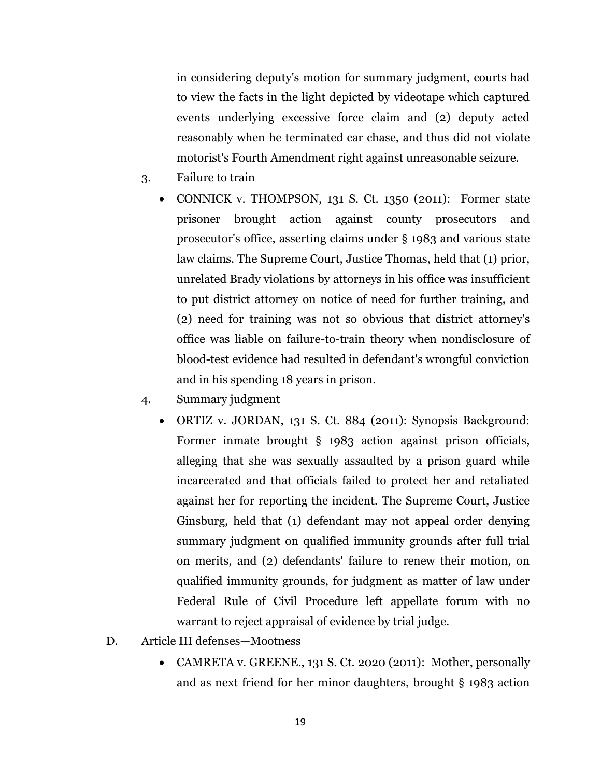in considering deputy's motion for summary judgment, courts had to view the facts in the light depicted by videotape which captured events underlying excessive force claim and (2) deputy acted reasonably when he terminated car chase, and thus did not violate motorist's Fourth Amendment right against unreasonable seizure.

- 3. Failure to train
	- CONNICK v. THOMPSON, 131 S. Ct. 1350 (2011): Former state prisoner brought action against county prosecutors and prosecutor's office, asserting claims under § 1983 and various state law claims. The Supreme Court, Justice Thomas, held that (1) prior, unrelated Brady violations by attorneys in his office was insufficient to put district attorney on notice of need for further training, and (2) need for training was not so obvious that district attorney's office was liable on failure-to-train theory when nondisclosure of blood-test evidence had resulted in defendant's wrongful conviction and in his spending 18 years in prison.
- 4. Summary judgment
	- ORTIZ v. JORDAN, 131 S. Ct. 884 (2011): Synopsis Background: Former inmate brought § 1983 action against prison officials, alleging that she was sexually assaulted by a prison guard while incarcerated and that officials failed to protect her and retaliated against her for reporting the incident. The Supreme Court, Justice Ginsburg, held that (1) defendant may not appeal order denying summary judgment on qualified immunity grounds after full trial on merits, and (2) defendants' failure to renew their motion, on qualified immunity grounds, for judgment as matter of law under Federal Rule of Civil Procedure left appellate forum with no warrant to reject appraisal of evidence by trial judge.
- D. Article III defenses—Mootness
	- CAMRETA v. GREENE., 131 S. Ct. 2020 (2011): Mother, personally and as next friend for her minor daughters, brought § 1983 action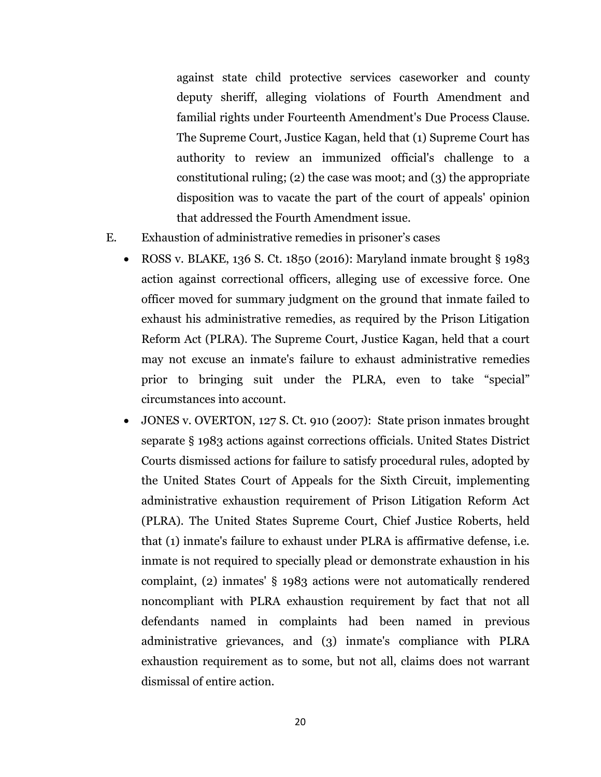against state child protective services caseworker and county deputy sheriff, alleging violations of Fourth Amendment and familial rights under Fourteenth Amendment's Due Process Clause. The Supreme Court, Justice Kagan, held that (1) Supreme Court has authority to review an immunized official's challenge to a constitutional ruling; (2) the case was moot; and (3) the appropriate disposition was to vacate the part of the court of appeals' opinion that addressed the Fourth Amendment issue.

- E. Exhaustion of administrative remedies in prisoner's cases
	- ROSS v. BLAKE, 136 S. Ct. 1850 (2016): Maryland inmate brought  $\S$  1983 action against correctional officers, alleging use of excessive force. One officer moved for summary judgment on the ground that inmate failed to exhaust his administrative remedies, as required by the Prison Litigation Reform Act (PLRA). The Supreme Court, Justice Kagan, held that a court may not excuse an inmate's failure to exhaust administrative remedies prior to bringing suit under the PLRA, even to take "special" circumstances into account.
	- JONES v. OVERTON, 127 S. Ct. 910 (2007): State prison inmates brought separate § 1983 actions against corrections officials. United States District Courts dismissed actions for failure to satisfy procedural rules, adopted by the United States Court of Appeals for the Sixth Circuit, implementing administrative exhaustion requirement of Prison Litigation Reform Act (PLRA). The United States Supreme Court, Chief Justice Roberts, held that (1) inmate's failure to exhaust under PLRA is affirmative defense, i.e. inmate is not required to specially plead or demonstrate exhaustion in his complaint, (2) inmates' § 1983 actions were not automatically rendered noncompliant with PLRA exhaustion requirement by fact that not all defendants named in complaints had been named in previous administrative grievances, and (3) inmate's compliance with PLRA exhaustion requirement as to some, but not all, claims does not warrant dismissal of entire action.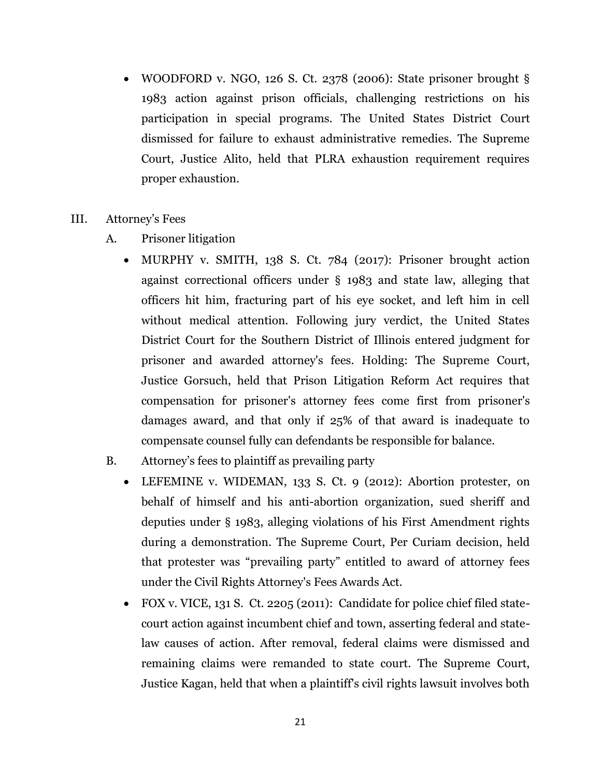- WOODFORD v. NGO, 126 S. Ct. 2378 (2006): State prisoner brought  $\S$ 1983 action against prison officials, challenging restrictions on his participation in special programs. The United States District Court dismissed for failure to exhaust administrative remedies. The Supreme Court, Justice Alito, held that PLRA exhaustion requirement requires proper exhaustion.
- III. Attorney's Fees
	- A. Prisoner litigation
		- MURPHY v. SMITH, 138 S. Ct. 784 (2017): Prisoner brought action against correctional officers under § 1983 and state law, alleging that officers hit him, fracturing part of his eye socket, and left him in cell without medical attention. Following jury verdict, the United States District Court for the Southern District of Illinois entered judgment for prisoner and awarded attorney's fees. Holding: The Supreme Court, Justice Gorsuch, held that Prison Litigation Reform Act requires that compensation for prisoner's attorney fees come first from prisoner's damages award, and that only if 25% of that award is inadequate to compensate counsel fully can defendants be responsible for balance.
	- B. Attorney's fees to plaintiff as prevailing party
		- LEFEMINE v. WIDEMAN, 133 S. Ct. 9 (2012): Abortion protester, on behalf of himself and his anti-abortion organization, sued sheriff and deputies under § 1983, alleging violations of his First Amendment rights during a demonstration. The Supreme Court, Per Curiam decision, held that protester was "prevailing party" entitled to award of attorney fees under the Civil Rights Attorney's Fees Awards Act.
		- FOX v. VICE, 131 S. Ct. 2205 (2011): Candidate for police chief filed statecourt action against incumbent chief and town, asserting federal and statelaw causes of action. After removal, federal claims were dismissed and remaining claims were remanded to state court. The Supreme Court, Justice Kagan, held that when a plaintiff's civil rights lawsuit involves both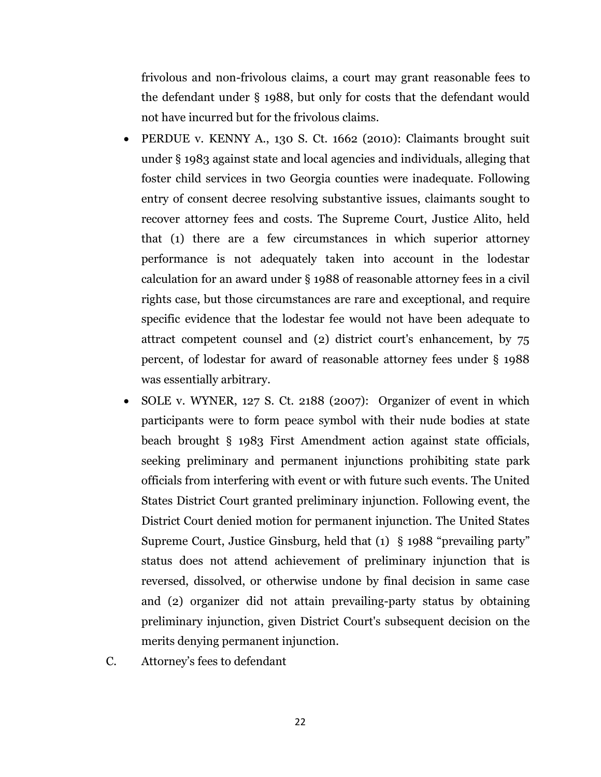frivolous and non-frivolous claims, a court may grant reasonable fees to the defendant under § 1988, but only for costs that the defendant would not have incurred but for the frivolous claims.

- PERDUE v. KENNY A., 130 S. Ct. 1662 (2010): Claimants brought suit under § 1983 against state and local agencies and individuals, alleging that foster child services in two Georgia counties were inadequate. Following entry of consent decree resolving substantive issues, claimants sought to recover attorney fees and costs. The Supreme Court, Justice Alito, held that (1) there are a few circumstances in which superior attorney performance is not adequately taken into account in the lodestar calculation for an award under § 1988 of reasonable attorney fees in a civil rights case, but those circumstances are rare and exceptional, and require specific evidence that the lodestar fee would not have been adequate to attract competent counsel and (2) district court's enhancement, by 75 percent, of lodestar for award of reasonable attorney fees under § 1988 was essentially arbitrary.
- SOLE v. WYNER, 127 S. Ct. 2188 (2007): Organizer of event in which participants were to form peace symbol with their nude bodies at state beach brought § 1983 First Amendment action against state officials, seeking preliminary and permanent injunctions prohibiting state park officials from interfering with event or with future such events. The United States District Court granted preliminary injunction. Following event, the District Court denied motion for permanent injunction. The United States Supreme Court, Justice Ginsburg, held that (1) § 1988 "prevailing party" status does not attend achievement of preliminary injunction that is reversed, dissolved, or otherwise undone by final decision in same case and (2) organizer did not attain prevailing-party status by obtaining preliminary injunction, given District Court's subsequent decision on the merits denying permanent injunction.
- C. Attorney's fees to defendant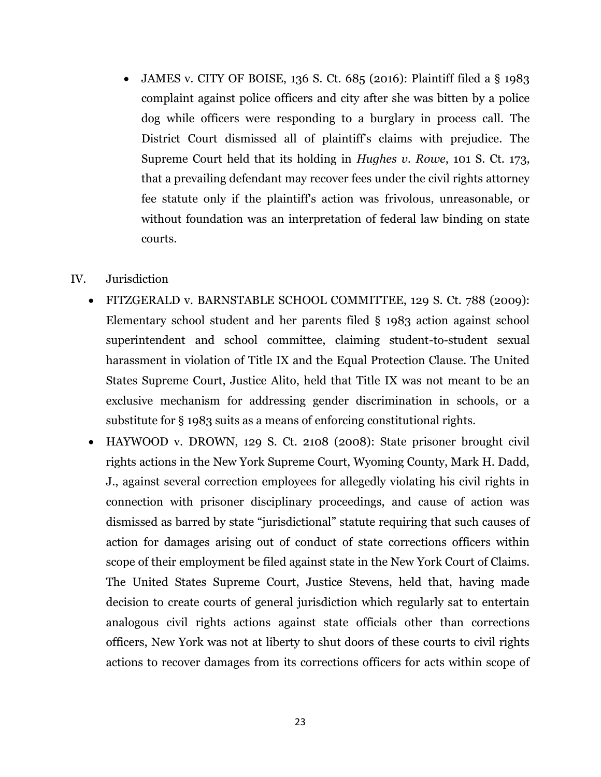• JAMES v. CITY OF BOISE, 136 S. Ct. 685 (2016): Plaintiff filed a § 1983 complaint against police officers and city after she was bitten by a police dog while officers were responding to a burglary in process call. The District Court dismissed all of plaintiff's claims with prejudice. The Supreme Court held that its holding in *Hughes v. Rowe*, 101 S. Ct. 173, that a prevailing defendant may recover fees under the civil rights attorney fee statute only if the plaintiff's action was frivolous, unreasonable, or without foundation was an interpretation of federal law binding on state courts.

### IV. Jurisdiction

- FITZGERALD v. BARNSTABLE SCHOOL COMMITTEE, 129 S. Ct. 788 (2009): Elementary school student and her parents filed § 1983 action against school superintendent and school committee, claiming student-to-student sexual harassment in violation of Title IX and the Equal Protection Clause. The United States Supreme Court, Justice Alito, held that Title IX was not meant to be an exclusive mechanism for addressing gender discrimination in schools, or a substitute for § 1983 suits as a means of enforcing constitutional rights.
- HAYWOOD v. DROWN, 129 S. Ct. 2108 (2008): State prisoner brought civil rights actions in the New York Supreme Court, Wyoming County, Mark H. Dadd, J., against several correction employees for allegedly violating his civil rights in connection with prisoner disciplinary proceedings, and cause of action was dismissed as barred by state "jurisdictional" statute requiring that such causes of action for damages arising out of conduct of state corrections officers within scope of their employment be filed against state in the New York Court of Claims. The United States Supreme Court, Justice Stevens, held that, having made decision to create courts of general jurisdiction which regularly sat to entertain analogous civil rights actions against state officials other than corrections officers, New York was not at liberty to shut doors of these courts to civil rights actions to recover damages from its corrections officers for acts within scope of